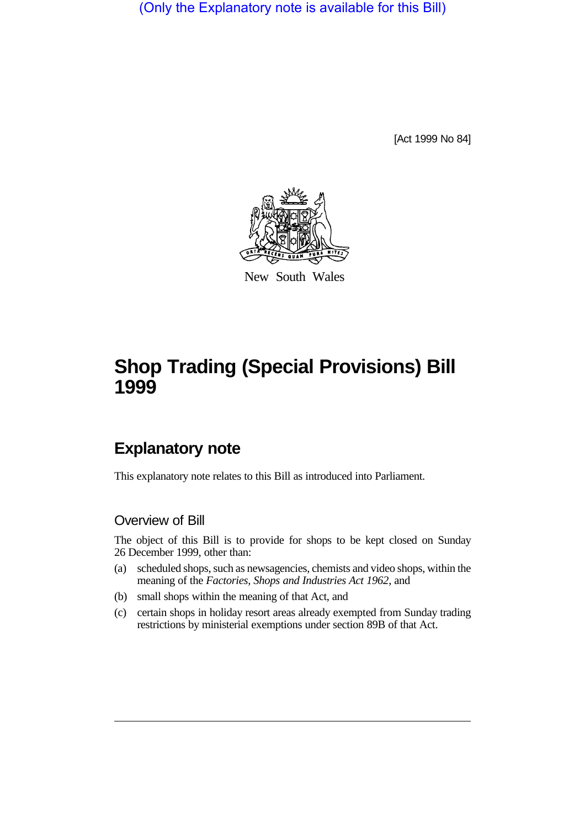(Only the Explanatory note is available for this Bill)

[Act 1999 No 84]



New South Wales

## **Shop Trading (Special Provisions) Bill 1999**

## **Explanatory note**

This explanatory note relates to this Bill as introduced into Parliament.

## Overview of Bill

The object of this Bill is to provide for shops to be kept closed on Sunday 26 December 1999, other than:

- (a) scheduled shops, such as newsagencies, chemists and video shops, within the meaning of the *Factories, Shops and Industries Act 1962*, and
- (b) small shops within the meaning of that Act, and
- (c) certain shops in holiday resort areas already exempted from Sunday trading restrictions by ministerial exemptions under section 89B of that Act.